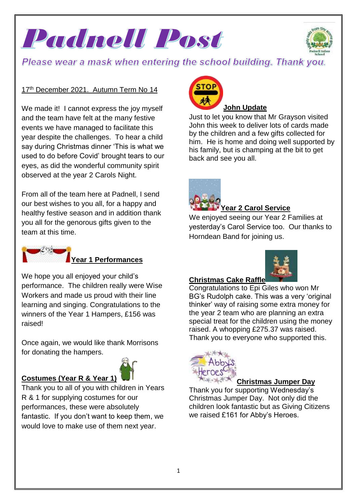Padnell Post



# Please wear a mask when entering the school building. Thank you.

### 17<sup>th</sup> December 2021. Autumn Term No 14

We made it! I cannot express the joy myself and the team have felt at the many festive events we have managed to facilitate this year despite the challenges. To hear a child say during Christmas dinner 'This is what we used to do before Covid' brought tears to our eyes, as did the wonderful community spirit observed at the year 2 Carols Night.

From all of the team here at Padnell, I send our best wishes to you all, for a happy and healthy festive season and in addition thank you all for the genorous gifts given to the team at this time.



### **Year 1 Performances**

We hope you all enjoyed your child's performance. The children really were Wise Workers and made us proud with their line learning and singing. Congratulations to the winners of the Year 1 Hampers, £156 was raised!

Once again, we would like thank Morrisons for donating the hampers.



Thank you to all of you with children in Years R & 1 for supplying costumes for our performances, these were absolutely fantastic. If you don't want to keep them, we would love to make use of them next year.



Just to let you know that Mr Grayson visited John this week to deliver lots of cards made by the children and a few gifts collected for him. He is home and doing well supported by his family, but is champing at the bit to get back and see you all.



### **Year 2 Carol Service**

We enjoyed seeing our Year 2 Families at yesterday's Carol Service too. Our thanks to Horndean Band for joining us.



#### **Christmas Cake Raffle**

Congratulations to Epi Giles who won Mr BG's Rudolph cake. This was a very 'original thinker' way of raising some extra money for the year 2 team who are planning an extra special treat for the children using the money raised. A whopping £275.37 was raised. Thank you to everyone who supported this.



#### **Christmas Jumper Day**

Thank you for supporting Wednesday's Christmas Jumper Day. Not only did the children look fantastic but as Giving Citizens we raised £161 for Abby's Heroes.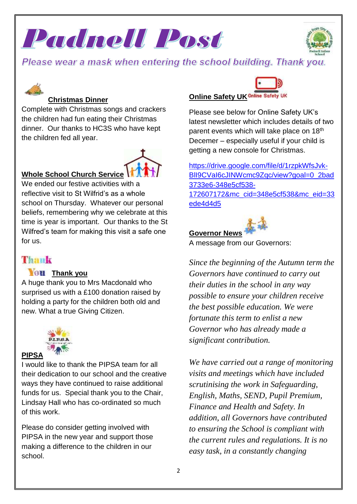





## **Christmas Dinner**

Complete with Christmas songs and crackers the children had fun eating their Christmas dinner. Our thanks to HC3S who have kept the children fed all year.



### **Whole School Church Service**

We ended our festive activities with a reflective visit to St Wilfrid's as a whole school on Thursday. Whatever our personal beliefs, remembering why we celebrate at this time is year is important. Our thanks to the St Wilfred's team for making this visit a safe one for us.

# Themal

### **Thank you**

A huge thank you to Mrs Macdonald who surprised us with a £100 donation raised by holding a party for the children both old and new. What a true Giving Citizen.



### **PIPSA**

I would like to thank the PIPSA team for all their dedication to our school and the creative ways they have continued to raise additional funds for us. Special thank you to the Chair, Lindsay Hall who has co-ordinated so much of this work.

Please do consider getting involved with PIPSA in the new year and support those making a difference to the children in our school.

# **Online Safety UK Online Safety UK**

Please see below for Online Safety UK's latest newsletter which includes details of two parent events which will take place on 18<sup>th</sup> Decemer – especially useful if your child is getting a new console for Christmas.

[https://drive.google.com/file/d/1rzpkWfsJvk-](https://drive.google.com/file/d/1rzpkWfsJvk-BlI9CVaI6cJINWcmc9Zqc/view?goal=0_2bad3733e6-348e5cf538-172607172&mc_cid=348e5cf538&mc_eid=33ede4d4d5)BII9CVaI6cJINWcmc9Zqc/view?goal=0\_2bad [3733e6-348e5cf538-](https://drive.google.com/file/d/1rzpkWfsJvk-BlI9CVaI6cJINWcmc9Zqc/view?goal=0_2bad3733e6-348e5cf538-172607172&mc_cid=348e5cf538&mc_eid=33ede4d4d5) [172607172&mc\\_cid=348e5cf538&mc\\_eid=33](https://drive.google.com/file/d/1rzpkWfsJvk-BlI9CVaI6cJINWcmc9Zqc/view?goal=0_2bad3733e6-348e5cf538-172607172&mc_cid=348e5cf538&mc_eid=33ede4d4d5) [ede4d4d5](https://drive.google.com/file/d/1rzpkWfsJvk-BlI9CVaI6cJINWcmc9Zqc/view?goal=0_2bad3733e6-348e5cf538-172607172&mc_cid=348e5cf538&mc_eid=33ede4d4d5)



A message from our Governors:

*Since the beginning of the Autumn term the Governors have continued to carry out their duties in the school in any way possible to ensure your children receive the best possible education. We were fortunate this term to enlist a new Governor who has already made a significant contribution.* 

*We have carried out a range of monitoring visits and meetings which have included scrutinising the work in Safeguarding, English, Maths, SEND, Pupil Premium, Finance and Health and Safety. In addition, all Governors have contributed to ensuring the School is compliant with the current rules and regulations. It is no easy task, in a constantly changing*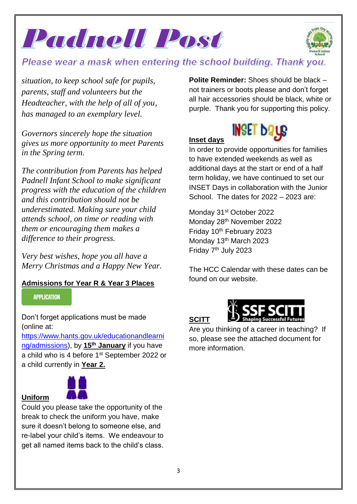



*situation, to keep school safe for pupils, parents, staff and volunteers but the Headteacher, with the help of all of you, has managed to an exemplary level.*

*Governors sincerely hope the situation gives us more opportunity to meet Parents in the Spring term.*

*The contribution from Parents has helped Padnell Infant School to make significant progress with the education of the children and this contribution should not be underestimated. Making sure your child attends school, on time or reading with them or encouraging them makes a difference to their progress.*

*Very best wishes, hope you all have a Merry Christmas and a Happy New Year.*

### **Admissions for Year R & Year 3 Places**

#### **APPLICATION**

Don't forget applications must be made (online at:

[https://www.hants.gov.uk/educationandlearni](https://www.hants.gov.uk/educationandlearning/admissions) [ng/admissions\)](https://www.hants.gov.uk/educationandlearning/admissions), by **15th January** if you have a child who is 4 before 1st September 2022 or a child currently in **Year 2.**

## **Uniform**



Could you please take the opportunity of the break to check the uniform you have, make sure it doesn't belong to someone else, and re-label your child's items. We endeavour to get all named items back to the child's class.

**Polite Reminder:** Shoes should be black – not trainers or boots please and don't forget all hair accessories should be black, white or purple. Thank you for supporting this policy.

## **Inset days**



In order to provide opportunities for families to have extended weekends as well as additional days at the start or end of a half term holiday, we have continued to set our INSET Days in collaboration with the Junior School. The dates for 2022 – 2023 are:

Monday 31<sup>st</sup> October 2022 Monday 28<sup>th</sup> November 2022 Friday 10<sup>th</sup> February 2023 Monday 13<sup>th</sup> March 2023 Friday 7<sup>th</sup> July 2023

The HCC Calendar with these dates can be found on our website.





Are you thinking of a career in teaching? If so, please see the attached document for more information.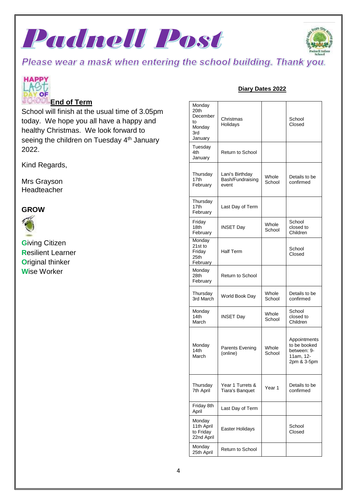





### **End of Term**

School will finish at the usual time of 3.05pm today. We hope you all have a happy and healthy Christmas. We look forward to seeing the children on Tuesday 4<sup>th</sup> January 2022.

Kind Regards,

Mrs Grayson Headteacher

#### **GROW**



**G**iving Citizen **R**esilient Learner **O**riginal thinker **W**ise Worker

### **Diary Dates 2022**

| Monday<br>20th<br>December<br>to<br>Monday<br>3rd<br>January | Christmas<br>Holidays                        |                 | School<br>Closed                                                        |
|--------------------------------------------------------------|----------------------------------------------|-----------------|-------------------------------------------------------------------------|
| Tuesday<br>4th<br>January                                    | <b>Return to School</b>                      |                 |                                                                         |
| Thursday<br>17th<br>February                                 | Lani's Birthday<br>Bash/Fundraising<br>event | Whole<br>School | Details to be<br>confirmed                                              |
| Thursday<br>17th<br>February                                 | Last Day of Term                             |                 |                                                                         |
| Friday<br>18th<br>February                                   | INSET Day                                    | Whole<br>School | School<br>closed to<br>Children                                         |
| Monday<br>21st to<br>Friday<br>25th<br>February              | <b>Half Term</b>                             |                 | School<br>Closed                                                        |
| Monday<br>28th<br>February                                   | <b>Return to School</b>                      |                 |                                                                         |
| Thursday<br>3rd March                                        | World Book Day                               | Whole<br>School | Details to be<br>confirmed                                              |
| Monday<br>14th<br>March                                      | <b>INSET Day</b>                             | Whole<br>School | School<br>closed to<br>Children                                         |
| Monday<br>14th<br>March                                      | Parents Evening<br>(online)                  | Whole<br>School | Appointments<br>to be booked<br>between: 9-<br>11am. 12-<br>2pm & 3-5pm |
| Thursday<br>7th April                                        | Year 1 Turrets &<br>Tiara's Banquet          | Year 1          | Details to be<br>confirmed                                              |
| Friday 8th<br>April                                          | Last Day of Term                             |                 |                                                                         |
| Monday<br>11th April<br>to Friday<br>22nd April              | Easter Holidays                              |                 | School<br>Closed                                                        |
| Monday<br>25th April                                         | <b>Return to School</b>                      |                 |                                                                         |